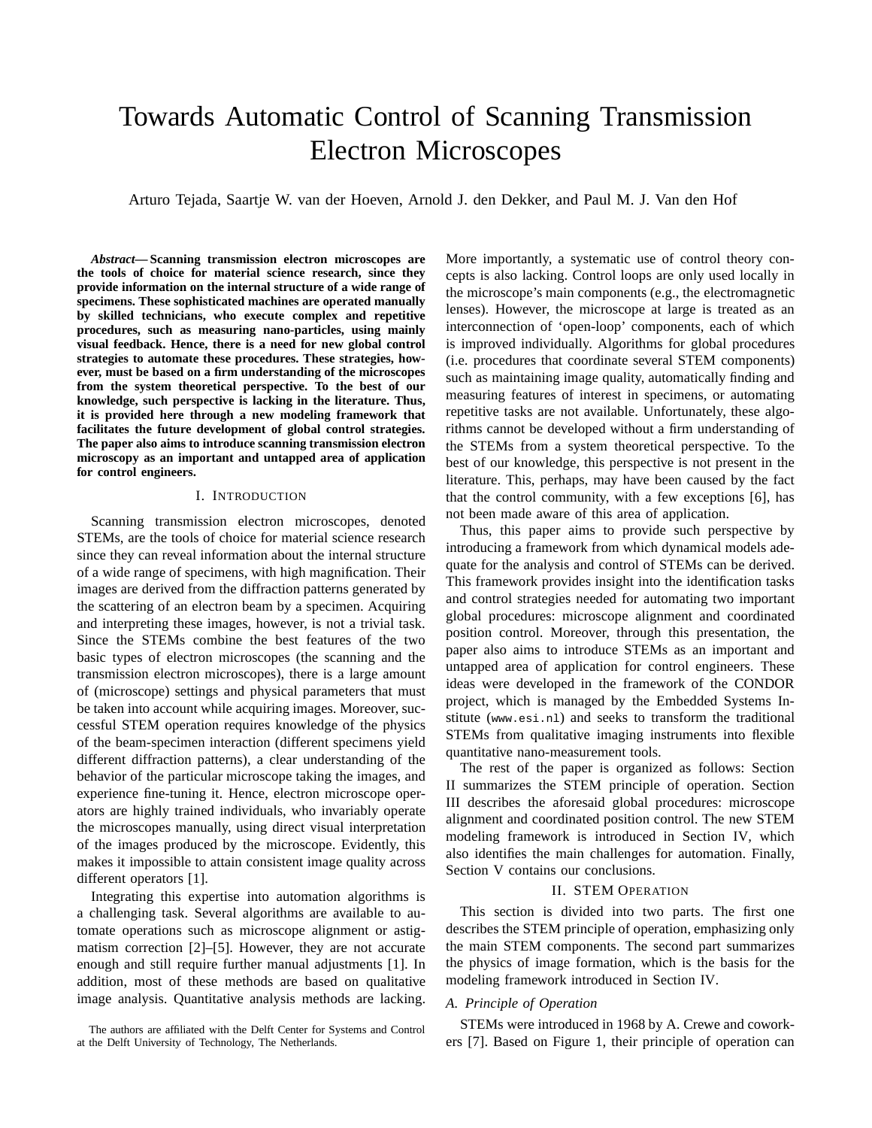# Towards Automatic Control of Scanning Transmission Electron Microscopes

Arturo Tejada, Saartje W. van der Hoeven, Arnold J. den Dekker, and Paul M. J. Van den Hof

*Abstract***— Scanning transmission electron microscopes are the tools of choice for material science research, since they provide information on the internal structure of a wide range of specimens. These sophisticated machines are operated manually by skilled technicians, who execute complex and repetitive procedures, such as measuring nano-particles, using mainly visual feedback. Hence, there is a need for new global control strategies to automate these procedures. These strategies, however, must be based on a firm understanding of the microscopes from the system theoretical perspective. To the best of our knowledge, such perspective is lacking in the literature. Thus, it is provided here through a new modeling framework that facilitates the future development of global control strategies. The paper also aims to introduce scanning transmission electron microscopy as an important and untapped area of application for control engineers.**

#### I. INTRODUCTION

Scanning transmission electron microscopes, denoted STEMs, are the tools of choice for material science research since they can reveal information about the internal structure of a wide range of specimens, with high magnification. Their images are derived from the diffraction patterns generated by the scattering of an electron beam by a specimen. Acquiring and interpreting these images, however, is not a trivial task. Since the STEMs combine the best features of the two basic types of electron microscopes (the scanning and the transmission electron microscopes), there is a large amount of (microscope) settings and physical parameters that must be taken into account while acquiring images. Moreover, successful STEM operation requires knowledge of the physics of the beam-specimen interaction (different specimens yield different diffraction patterns), a clear understanding of the behavior of the particular microscope taking the images, and experience fine-tuning it. Hence, electron microscope operators are highly trained individuals, who invariably operate the microscopes manually, using direct visual interpretation of the images produced by the microscope. Evidently, this makes it impossible to attain consistent image quality across different operators [1].

Integrating this expertise into automation algorithms is a challenging task. Several algorithms are available to automate operations such as microscope alignment or astigmatism correction [2]–[5]. However, they are not accurate enough and still require further manual adjustments [1]. In addition, most of these methods are based on qualitative image analysis. Quantitative analysis methods are lacking.

The authors are affiliated with the Delft Center for Systems and Control at the Delft University of Technology, The Netherlands.

More importantly, a systematic use of control theory concepts is also lacking. Control loops are only used locally in the microscope's main components (e.g., the electromagnetic lenses). However, the microscope at large is treated as an interconnection of 'open-loop' components, each of which is improved individually. Algorithms for global procedures (i.e. procedures that coordinate several STEM components) such as maintaining image quality, automatically finding and measuring features of interest in specimens, or automating repetitive tasks are not available. Unfortunately, these algorithms cannot be developed without a firm understanding of the STEMs from a system theoretical perspective. To the best of our knowledge, this perspective is not present in the literature. This, perhaps, may have been caused by the fact that the control community, with a few exceptions [6], has not been made aware of this area of application.

Thus, this paper aims to provide such perspective by introducing a framework from which dynamical models adequate for the analysis and control of STEMs can be derived. This framework provides insight into the identification tasks and control strategies needed for automating two important global procedures: microscope alignment and coordinated position control. Moreover, through this presentation, the paper also aims to introduce STEMs as an important and untapped area of application for control engineers. These ideas were developed in the framework of the CONDOR project, which is managed by the Embedded Systems Institute (www.esi.nl) and seeks to transform the traditional STEMs from qualitative imaging instruments into flexible quantitative nano-measurement tools.

The rest of the paper is organized as follows: Section II summarizes the STEM principle of operation. Section III describes the aforesaid global procedures: microscope alignment and coordinated position control. The new STEM modeling framework is introduced in Section IV, which also identifies the main challenges for automation. Finally, Section V contains our conclusions.

## II. STEM OPERATION

This section is divided into two parts. The first one describes the STEM principle of operation, emphasizing only the main STEM components. The second part summarizes the physics of image formation, which is the basis for the modeling framework introduced in Section IV.

## *A. Principle of Operation*

STEMs were introduced in 1968 by A. Crewe and coworkers [7]. Based on Figure 1, their principle of operation can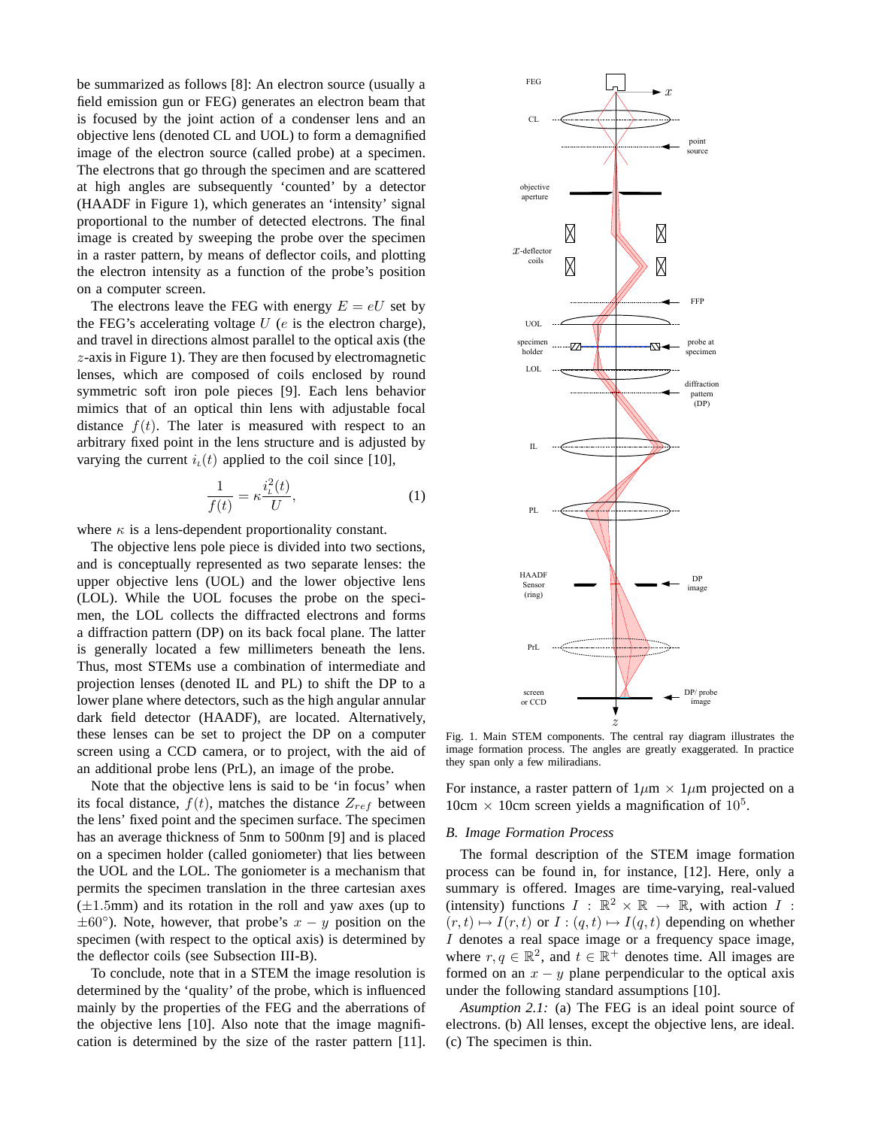be summarized as follows [8]: An electron source (usually a field emission gun or FEG) generates an electron beam that is focused by the joint action of a condenser lens and an objective lens (denoted CL and UOL) to form a demagnified image of the electron source (called probe) at a specimen. The electrons that go through the specimen and are scattered at high angles are subsequently 'counted' by a detector (HAADF in Figure 1), which generates an 'intensity' signal proportional to the number of detected electrons. The final image is created by sweeping the probe over the specimen in a raster pattern, by means of deflector coils, and plotting the electron intensity as a function of the probe's position on a computer screen.

The electrons leave the FEG with energy  $E = eU$  set by the FEG's accelerating voltage  $U$  ( $e$  is the electron charge), and travel in directions almost parallel to the optical axis (the z-axis in Figure 1). They are then focused by electromagnetic lenses, which are composed of coils enclosed by round symmetric soft iron pole pieces [9]. Each lens behavior mimics that of an optical thin lens with adjustable focal distance  $f(t)$ . The later is measured with respect to an arbitrary fixed point in the lens structure and is adjusted by varying the current  $i_l(t)$  applied to the coil since [10],

$$
\frac{1}{f(t)} = \kappa \frac{i_t^2(t)}{U},\tag{1}
$$

where  $\kappa$  is a lens-dependent proportionality constant.

The objective lens pole piece is divided into two sections, and is conceptually represented as two separate lenses: the upper objective lens (UOL) and the lower objective lens (LOL). While the UOL focuses the probe on the specimen, the LOL collects the diffracted electrons and forms a diffraction pattern (DP) on its back focal plane. The latter is generally located a few millimeters beneath the lens. Thus, most STEMs use a combination of intermediate and projection lenses (denoted IL and PL) to shift the DP to a lower plane where detectors, such as the high angular annular dark field detector (HAADF), are located. Alternatively, these lenses can be set to project the DP on a computer screen using a CCD camera, or to project, with the aid of an additional probe lens (PrL), an image of the probe.

Note that the objective lens is said to be 'in focus' when its focal distance,  $f(t)$ , matches the distance  $Z_{ref}$  between the lens' fixed point and the specimen surface. The specimen has an average thickness of 5nm to 500nm [9] and is placed on a specimen holder (called goniometer) that lies between the UOL and the LOL. The goniometer is a mechanism that permits the specimen translation in the three cartesian axes  $(\pm 1.5$ mm) and its rotation in the roll and yaw axes (up to  $\pm 60^\circ$ ). Note, however, that probe's  $x - y$  position on the specimen (with respect to the optical axis) is determined by the deflector coils (see Subsection III-B).

To conclude, note that in a STEM the image resolution is determined by the 'quality' of the probe, which is influenced mainly by the properties of the FEG and the aberrations of the objective lens [10]. Also note that the image magnification is determined by the size of the raster pattern [11].



Fig. 1. Main STEM components. The central ray diagram illustrates the image formation process. The angles are greatly exaggerated. In practice they span only a few miliradians.

For instance, a raster pattern of  $1\mu$ m  $\times$   $1\mu$ m projected on a 10cm  $\times$  10cm screen yields a magnification of 10<sup>5</sup>.

#### *B. Image Formation Process*

The formal description of the STEM image formation process can be found in, for instance, [12]. Here, only a summary is offered. Images are time-varying, real-valued (intensity) functions  $I : \mathbb{R}^2 \times \mathbb{R} \to \mathbb{R}$ , with action  $I$ :  $(r, t) \mapsto I(r, t)$  or  $I : (q, t) \mapsto I(q, t)$  depending on whether I denotes a real space image or a frequency space image, where  $r, q \in \mathbb{R}^2$ , and  $t \in \mathbb{R}^+$  denotes time. All images are formed on an  $x - y$  plane perpendicular to the optical axis under the following standard assumptions [10].

*Asumption 2.1:* (a) The FEG is an ideal point source of electrons. (b) All lenses, except the objective lens, are ideal. (c) The specimen is thin.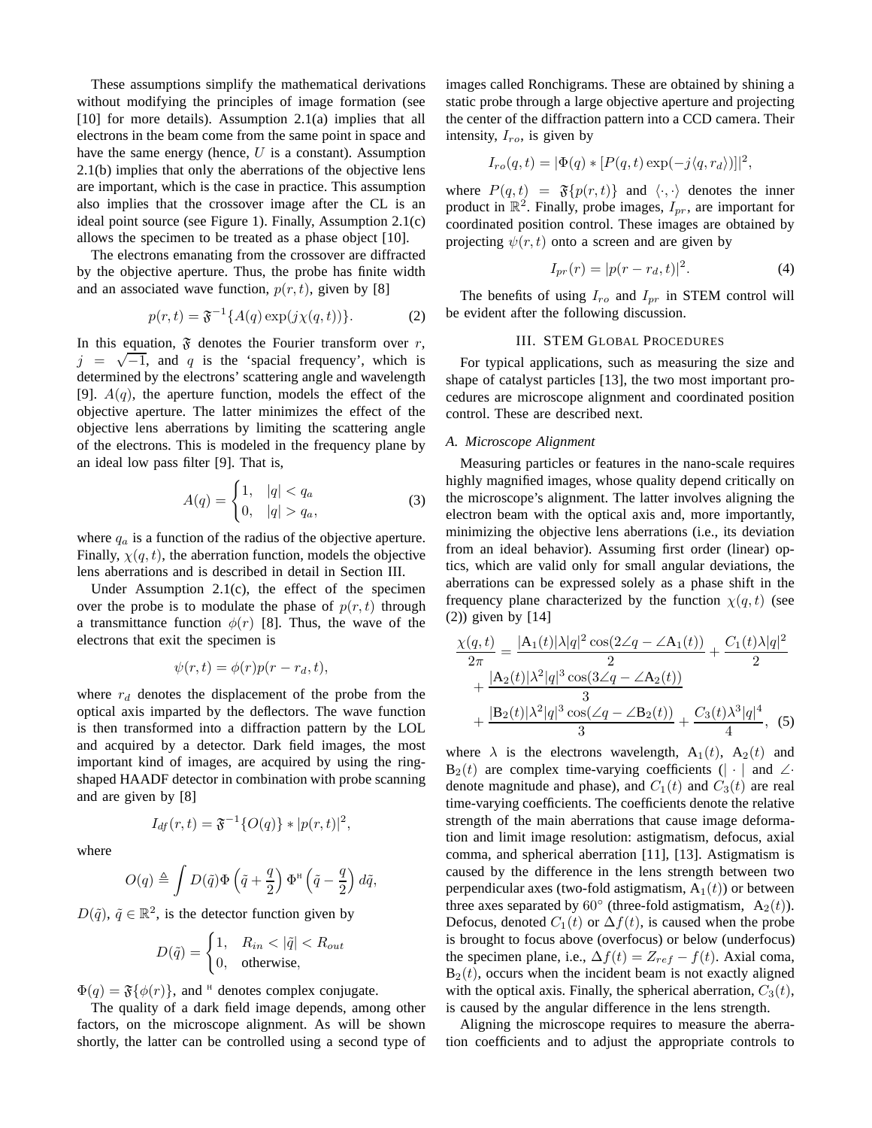These assumptions simplify the mathematical derivations without modifying the principles of image formation (see [10] for more details). Assumption 2.1(a) implies that all electrons in the beam come from the same point in space and have the same energy (hence,  $U$  is a constant). Assumption 2.1(b) implies that only the aberrations of the objective lens are important, which is the case in practice. This assumption also implies that the crossover image after the CL is an ideal point source (see Figure 1). Finally, Assumption 2.1(c) allows the specimen to be treated as a phase object [10].

The electrons emanating from the crossover are diffracted by the objective aperture. Thus, the probe has finite width and an associated wave function,  $p(r, t)$ , given by [8]

$$
p(r,t) = \mathfrak{F}^{-1}\{A(q) \exp(j\chi(q,t))\}.
$$
 (2)

In this equation,  $\mathfrak F$  denotes the Fourier transform over r,  $j = \sqrt{-1}$ , and q is the 'spacial frequency', which is determined by the electrons' scattering angle and wavelength [9].  $A(q)$ , the aperture function, models the effect of the objective aperture. The latter minimizes the effect of the objective lens aberrations by limiting the scattering angle of the electrons. This is modeled in the frequency plane by an ideal low pass filter [9]. That is,

$$
A(q) = \begin{cases} 1, & |q| < q_a \\ 0, & |q| > q_a, \end{cases}
$$
 (3)

where  $q_a$  is a function of the radius of the objective aperture. Finally,  $\chi(q, t)$ , the aberration function, models the objective lens aberrations and is described in detail in Section III.

Under Assumption 2.1(c), the effect of the specimen over the probe is to modulate the phase of  $p(r, t)$  through a transmittance function  $\phi(r)$  [8]. Thus, the wave of the electrons that exit the specimen is

$$
\psi(r,t) = \phi(r)p(r - r_d, t),
$$

where  $r_d$  denotes the displacement of the probe from the optical axis imparted by the deflectors. The wave function is then transformed into a diffraction pattern by the LOL and acquired by a detector. Dark field images, the most important kind of images, are acquired by using the ringshaped HAADF detector in combination with probe scanning and are given by [8]

$$
I_{df}(r,t) = \mathfrak{F}^{-1}{O(q)} * |p(r,t)|^2,
$$

where

$$
O(q) \triangleq \int D(\tilde{q}) \Phi\left(\tilde{q} + \frac{q}{2}\right) \Phi^{\rm H}\left(\tilde{q} - \frac{q}{2}\right) d\tilde{q},
$$

 $D(\tilde{q})$ ,  $\tilde{q} \in \mathbb{R}^2$ , is the detector function given by

$$
D(\tilde{q}) = \begin{cases} 1, & R_{in} < |\tilde{q}| < R_{out} \\ 0, & \text{otherwise,} \end{cases}
$$

 $\Phi(q) = \mathfrak{F}\{\phi(r)\}\,$ , and <sup>H</sup> denotes complex conjugate.

The quality of a dark field image depends, among other factors, on the microscope alignment. As will be shown shortly, the latter can be controlled using a second type of images called Ronchigrams. These are obtained by shining a static probe through a large objective aperture and projecting the center of the diffraction pattern into a CCD camera. Their intensity,  $I_{ro}$ , is given by

$$
I_{ro}(q,t)=|\Phi(q)*[P(q,t)\exp(-j\langle q,r_d\rangle)]|^2,
$$

where  $P(q, t) = \mathfrak{F}\{p(r, t)\}\$  and  $\langle \cdot, \cdot \rangle$  denotes the inner product in  $\mathbb{R}^2$ . Finally, probe images,  $I_{pr}$ , are important for coordinated position control. These images are obtained by projecting  $\psi(r, t)$  onto a screen and are given by

$$
I_{pr}(r) = |p(r - r_d, t)|^2.
$$
 (4)

The benefits of using  $I_{ro}$  and  $I_{pr}$  in STEM control will be evident after the following discussion.

#### III. STEM GLOBAL PROCEDURES

For typical applications, such as measuring the size and shape of catalyst particles [13], the two most important procedures are microscope alignment and coordinated position control. These are described next.

#### *A. Microscope Alignment*

Measuring particles or features in the nano-scale requires highly magnified images, whose quality depend critically on the microscope's alignment. The latter involves aligning the electron beam with the optical axis and, more importantly, minimizing the objective lens aberrations (i.e., its deviation from an ideal behavior). Assuming first order (linear) optics, which are valid only for small angular deviations, the aberrations can be expressed solely as a phase shift in the frequency plane characterized by the function  $\chi(q, t)$  (see (2)) given by [14]

$$
\frac{\chi(q,t)}{2\pi} = \frac{|\mathbf{A}_1(t)|\lambda|q|^2 \cos(2\angle q - \angle \mathbf{A}_1(t))}{2} + \frac{C_1(t)\lambda|q|^2}{2} + \frac{|\mathbf{A}_2(t)|\lambda^2|q|^3 \cos(3\angle q - \angle \mathbf{A}_2(t))}{3} + \frac{|\mathbf{B}_2(t)|\lambda^2|q|^3 \cos(\angle q - \angle \mathbf{B}_2(t))}{3} + \frac{C_3(t)\lambda^3|q|^4}{4},
$$
(5)

where  $\lambda$  is the electrons wavelength,  $A_1(t)$ ,  $A_2(t)$  and  $B_2(t)$  are complex time-varying coefficients (| · | and ∠· denote magnitude and phase), and  $C_1(t)$  and  $C_3(t)$  are real time-varying coefficients. The coefficients denote the relative strength of the main aberrations that cause image deformation and limit image resolution: astigmatism, defocus, axial comma, and spherical aberration [11], [13]. Astigmatism is caused by the difference in the lens strength between two perpendicular axes (two-fold astigmatism,  $A_1(t)$ ) or between three axes separated by  $60^\circ$  (three-fold astigmatism,  $A_2(t)$ ). Defocus, denoted  $C_1(t)$  or  $\Delta f(t)$ , is caused when the probe is brought to focus above (overfocus) or below (underfocus) the specimen plane, i.e.,  $\Delta f(t) = Z_{ref} - f(t)$ . Axial coma,  $B_2(t)$ , occurs when the incident beam is not exactly aligned with the optical axis. Finally, the spherical aberration,  $C_3(t)$ , is caused by the angular difference in the lens strength.

Aligning the microscope requires to measure the aberration coefficients and to adjust the appropriate controls to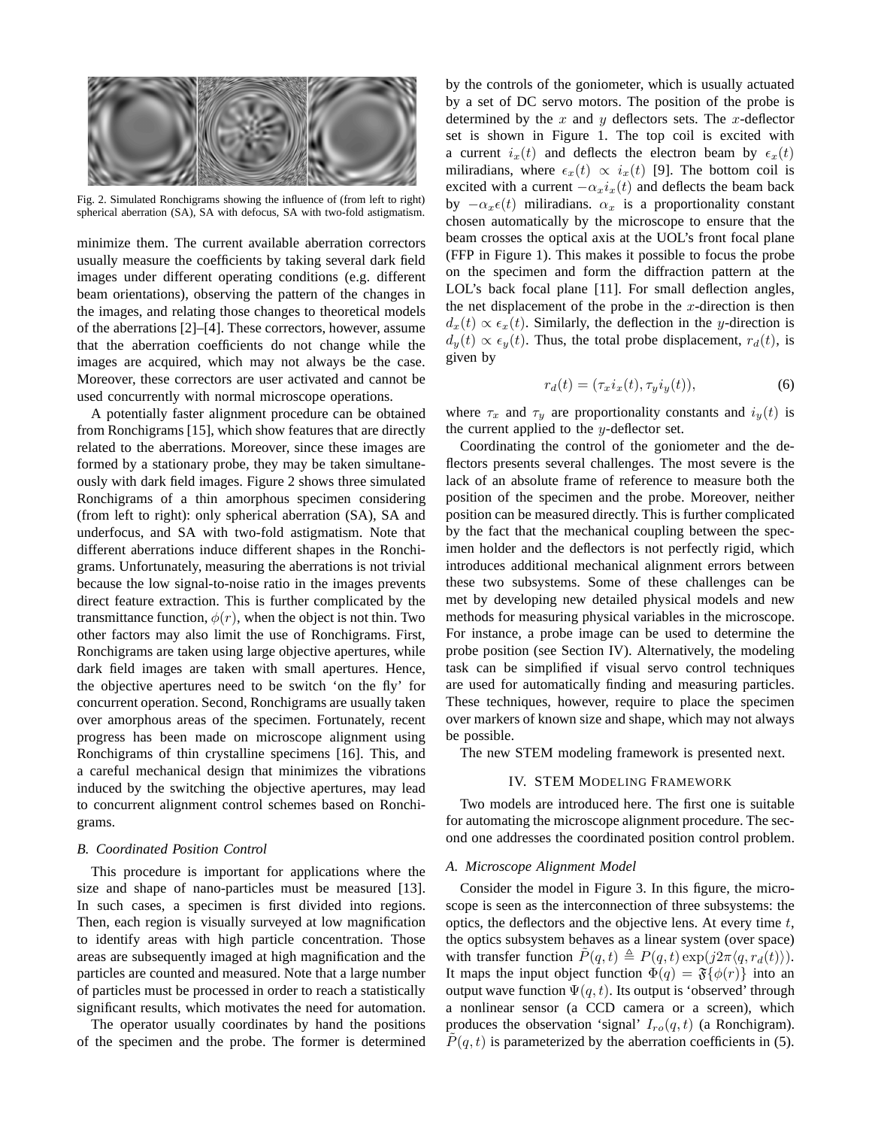

Fig. 2. Simulated Ronchigrams showing the influence of (from left to right) spherical aberration (SA), SA with defocus, SA with two-fold astigmatism.

minimize them. The current available aberration correctors usually measure the coefficients by taking several dark field images under different operating conditions (e.g. different beam orientations), observing the pattern of the changes in the images, and relating those changes to theoretical models of the aberrations [2]–[4]. These correctors, however, assume that the aberration coefficients do not change while the images are acquired, which may not always be the case. Moreover, these correctors are user activated and cannot be used concurrently with normal microscope operations.

A potentially faster alignment procedure can be obtained from Ronchigrams [15], which show features that are directly related to the aberrations. Moreover, since these images are formed by a stationary probe, they may be taken simultaneously with dark field images. Figure 2 shows three simulated Ronchigrams of a thin amorphous specimen considering (from left to right): only spherical aberration (SA), SA and underfocus, and SA with two-fold astigmatism. Note that different aberrations induce different shapes in the Ronchigrams. Unfortunately, measuring the aberrations is not trivial because the low signal-to-noise ratio in the images prevents direct feature extraction. This is further complicated by the transmittance function,  $\phi(r)$ , when the object is not thin. Two other factors may also limit the use of Ronchigrams. First, Ronchigrams are taken using large objective apertures, while dark field images are taken with small apertures. Hence, the objective apertures need to be switch 'on the fly' for concurrent operation. Second, Ronchigrams are usually taken over amorphous areas of the specimen. Fortunately, recent progress has been made on microscope alignment using Ronchigrams of thin crystalline specimens [16]. This, and a careful mechanical design that minimizes the vibrations induced by the switching the objective apertures, may lead to concurrent alignment control schemes based on Ronchigrams.

## *B. Coordinated Position Control*

This procedure is important for applications where the size and shape of nano-particles must be measured [13]. In such cases, a specimen is first divided into regions. Then, each region is visually surveyed at low magnification to identify areas with high particle concentration. Those areas are subsequently imaged at high magnification and the particles are counted and measured. Note that a large number of particles must be processed in order to reach a statistically significant results, which motivates the need for automation.

The operator usually coordinates by hand the positions of the specimen and the probe. The former is determined by the controls of the goniometer, which is usually actuated by a set of DC servo motors. The position of the probe is determined by the  $x$  and  $y$  deflectors sets. The  $x$ -deflector set is shown in Figure 1. The top coil is excited with a current  $i_x(t)$  and deflects the electron beam by  $\epsilon_x(t)$ miliradians, where  $\epsilon_x(t) \propto i_x(t)$  [9]. The bottom coil is excited with a current  $-\alpha_x i_x(t)$  and deflects the beam back by  $-\alpha_x \epsilon(t)$  miliradians.  $\alpha_x$  is a proportionality constant chosen automatically by the microscope to ensure that the beam crosses the optical axis at the UOL's front focal plane (FFP in Figure 1). This makes it possible to focus the probe on the specimen and form the diffraction pattern at the LOL's back focal plane [11]. For small deflection angles, the net displacement of the probe in the  $x$ -direction is then  $d_x(t) \propto \epsilon_x(t)$ . Similarly, the deflection in the y-direction is  $d_y(t) \propto \epsilon_y(t)$ . Thus, the total probe displacement,  $r_d(t)$ , is given by

$$
r_d(t) = (\tau_x i_x(t), \tau_y i_y(t)), \tag{6}
$$

where  $\tau_x$  and  $\tau_y$  are proportionality constants and  $i_y(t)$  is the current applied to the  $y$ -deflector set.

Coordinating the control of the goniometer and the deflectors presents several challenges. The most severe is the lack of an absolute frame of reference to measure both the position of the specimen and the probe. Moreover, neither position can be measured directly. This is further complicated by the fact that the mechanical coupling between the specimen holder and the deflectors is not perfectly rigid, which introduces additional mechanical alignment errors between these two subsystems. Some of these challenges can be met by developing new detailed physical models and new methods for measuring physical variables in the microscope. For instance, a probe image can be used to determine the probe position (see Section IV). Alternatively, the modeling task can be simplified if visual servo control techniques are used for automatically finding and measuring particles. These techniques, however, require to place the specimen over markers of known size and shape, which may not always be possible.

The new STEM modeling framework is presented next.

## IV. STEM MODELING FRAMEWORK

Two models are introduced here. The first one is suitable for automating the microscope alignment procedure. The second one addresses the coordinated position control problem.

## *A. Microscope Alignment Model*

Consider the model in Figure 3. In this figure, the microscope is seen as the interconnection of three subsystems: the optics, the deflectors and the objective lens. At every time  $t$ , the optics subsystem behaves as a linear system (over space) with transfer function  $\tilde{P}(q, t) \triangleq P(q, t) \exp(j2\pi \langle q, r_d(t) \rangle)$ . It maps the input object function  $\Phi(q) = \mathfrak{F}\{\phi(r)\}\$ into an output wave function  $\Psi(q, t)$ . Its output is 'observed' through a nonlinear sensor (a CCD camera or a screen), which produces the observation 'signal'  $I_{ro}(q, t)$  (a Ronchigram).  $P(q, t)$  is parameterized by the aberration coefficients in (5).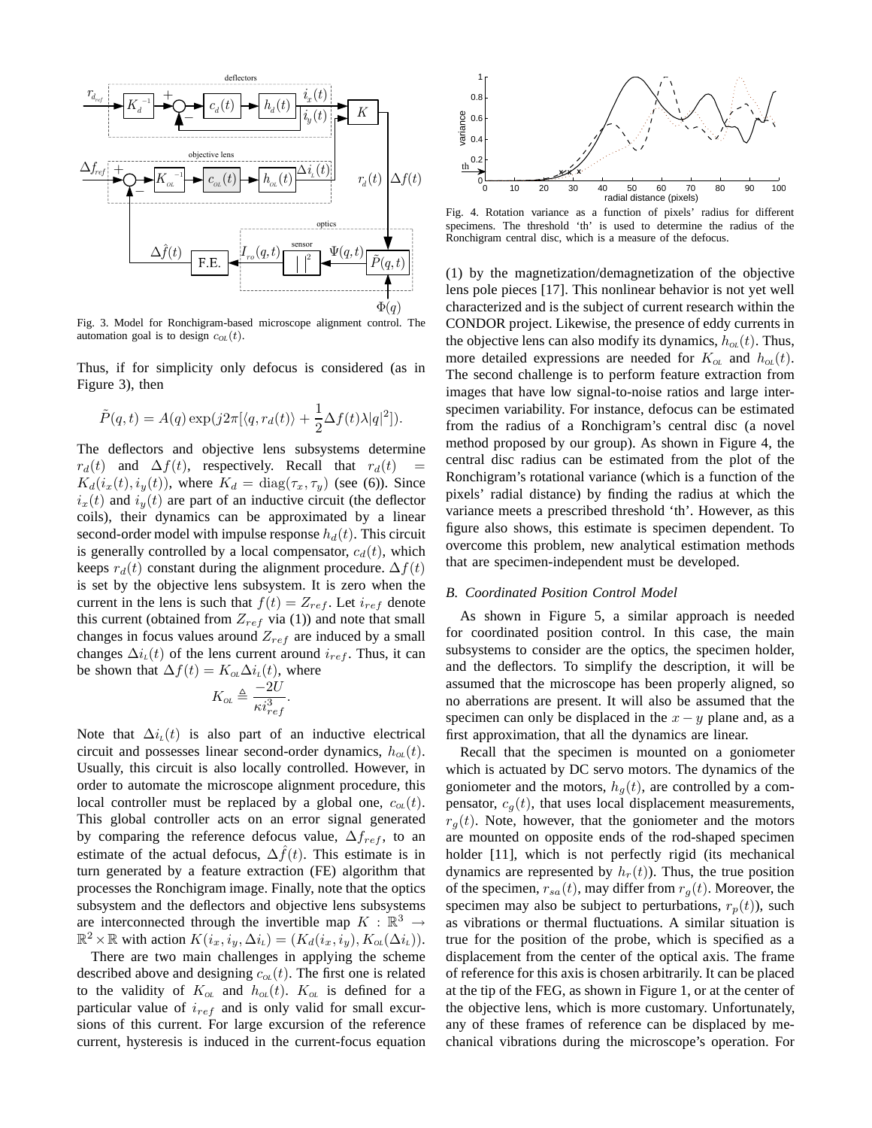

Fig. 3. Model for Ronchigram-based microscope alignment control. The automation goal is to design  $c_{OL}(t)$ .

Thus, if for simplicity only defocus is considered (as in Figure 3), then

$$
\tilde{P}(q,t) = A(q) \exp(j2\pi[\langle q, r_d(t) \rangle + \frac{1}{2}\Delta f(t)\lambda|q|^2]).
$$

The deflectors and objective lens subsystems determine  $r_d(t)$  and  $\Delta f(t)$ , respectively. Recall that  $r_d(t)$  $K_d(i_x(t), i_y(t))$ , where  $K_d = \text{diag}(\tau_x, \tau_y)$  (see (6)). Since  $i_x(t)$  and  $i_y(t)$  are part of an inductive circuit (the deflector coils), their dynamics can be approximated by a linear second-order model with impulse response  $h_d(t)$ . This circuit is generally controlled by a local compensator,  $c_d(t)$ , which keeps  $r_d(t)$  constant during the alignment procedure.  $\Delta f(t)$ is set by the objective lens subsystem. It is zero when the current in the lens is such that  $f(t) = Z_{ref}$ . Let  $i_{ref}$  denote this current (obtained from  $Z_{ref}$  via (1)) and note that small changes in focus values around  $Z_{ref}$  are induced by a small changes  $\Delta i_l(t)$  of the lens current around  $i_{ref}$ . Thus, it can be shown that  $\Delta f(t) = K_{oL} \Delta i_L(t)$ , where

$$
K_{o\iota} \triangleq \frac{-2U}{\kappa i_{ref}^3}.
$$

Note that  $\Delta i_l(t)$  is also part of an inductive electrical circuit and possesses linear second-order dynamics,  $h_{\text{oL}}(t)$ . Usually, this circuit is also locally controlled. However, in order to automate the microscope alignment procedure, this local controller must be replaced by a global one,  $c_{0L}(t)$ . This global controller acts on an error signal generated by comparing the reference defocus value,  $\Delta f_{ref}$ , to an estimate of the actual defocus,  $\Delta f(t)$ . This estimate is in turn generated by a feature extraction (FE) algorithm that processes the Ronchigram image. Finally, note that the optics subsystem and the deflectors and objective lens subsystems are interconnected through the invertible map  $K : \mathbb{R}^3 \to$  $\mathbb{R}^2 \times \mathbb{R}$  with action  $K(i_x, i_y, \Delta i_t) = (K_d(i_x, i_y), K_{oa}(\Delta i_t)).$ 

There are two main challenges in applying the scheme described above and designing  $c_{OL}(t)$ . The first one is related to the validity of  $K_{\text{o}L}$  and  $h_{\text{o}L}(t)$ .  $K_{\text{o}L}$  is defined for a particular value of  $i_{ref}$  and is only valid for small excursions of this current. For large excursion of the reference current, hysteresis is induced in the current-focus equation



Fig. 4. Rotation variance as a function of pixels' radius for different specimens. The threshold 'th' is used to determine the radius of the Ronchigram central disc, which is a measure of the defocus.

(1) by the magnetization/demagnetization of the objective lens pole pieces [17]. This nonlinear behavior is not yet well characterized and is the subject of current research within the CONDOR project. Likewise, the presence of eddy currents in the objective lens can also modify its dynamics,  $h_{\alpha}(t)$ . Thus, more detailed expressions are needed for  $K_{\text{o}_L}$  and  $h_{\text{o}_L}(t)$ . The second challenge is to perform feature extraction from images that have low signal-to-noise ratios and large interspecimen variability. For instance, defocus can be estimated from the radius of a Ronchigram's central disc (a novel method proposed by our group). As shown in Figure 4, the central disc radius can be estimated from the plot of the Ronchigram's rotational variance (which is a function of the pixels' radial distance) by finding the radius at which the variance meets a prescribed threshold 'th'. However, as this figure also shows, this estimate is specimen dependent. To overcome this problem, new analytical estimation methods that are specimen-independent must be developed.

## *B. Coordinated Position Control Model*

As shown in Figure 5, a similar approach is needed for coordinated position control. In this case, the main subsystems to consider are the optics, the specimen holder, and the deflectors. To simplify the description, it will be assumed that the microscope has been properly aligned, so no aberrations are present. It will also be assumed that the specimen can only be displaced in the  $x - y$  plane and, as a first approximation, that all the dynamics are linear.

Recall that the specimen is mounted on a goniometer which is actuated by DC servo motors. The dynamics of the goniometer and the motors,  $h<sub>g</sub>(t)$ , are controlled by a compensator,  $c_q(t)$ , that uses local displacement measurements,  $r_q(t)$ . Note, however, that the goniometer and the motors are mounted on opposite ends of the rod-shaped specimen holder [11], which is not perfectly rigid (its mechanical dynamics are represented by  $h_r(t)$ ). Thus, the true position of the specimen,  $r_{sa}(t)$ , may differ from  $r_g(t)$ . Moreover, the specimen may also be subject to perturbations,  $r_p(t)$ ), such as vibrations or thermal fluctuations. A similar situation is true for the position of the probe, which is specified as a displacement from the center of the optical axis. The frame of reference for this axis is chosen arbitrarily. It can be placed at the tip of the FEG, as shown in Figure 1, or at the center of the objective lens, which is more customary. Unfortunately, any of these frames of reference can be displaced by mechanical vibrations during the microscope's operation. For